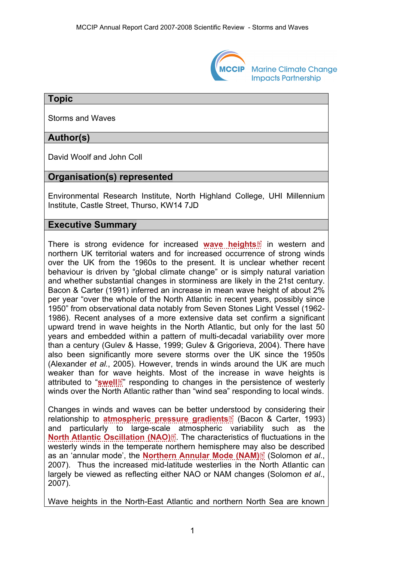

**Marine Climate Change Impacts Partnership** 

#### **Topic**

Storms and Waves

## **Author(s)**

David Woolf and John Coll

## **Organisation(s) represented**

Environmental Research Institute, North Highland College, UHI Millennium Institute, Castle Street, Thurso, KW14 7JD

### **Executive Summary**

There is strong evidence for increased **[wave heights](http://www.mccip.org.uk/arc/2007/glossary.htm#Wave_height)**in western and northern UK territorial waters and for increased occurrence of strong winds over the UK from the 1960s to the present. It is unclear whether recent behaviour is driven by "global climate change" or is simply natural variation and whether substantial changes in storminess are likely in the 21st century. Bacon & Carter (1991) inferred an increase in mean wave height of about 2% per year "over the whole of the North Atlantic in recent years, possibly since 1950" from observational data notably from Seven Stones Light Vessel (1962- 1986). Recent analyses of a more extensive data set confirm a significant upward trend in wave heights in the North Atlantic, but only for the last 50 years and embedded within a pattern of multi-decadal variability over more than a century (Gulev & Hasse, 1999; Gulev & Grigorieva, 2004). There have also been significantly more severe storms over the UK since the 1950s (Alexander *et al.*, 2005). However, trends in winds around the UK are much weaker than for [wav](http://www.mccip.org.uk/arc/2007/glossary.htm)e heights. Most of the increase in wave heights is attributed to "**[swell](http://www.mccip.org.uk/arc/2007/glossary.htm#swell)**<sup>"</sup> responding to changes in the persistence of westerly winds over the North Atlantic rather than "wind sea" responding to local winds.

Changes in winds and waves can be better und[erst](http://www.mccip.org.uk/arc/2007/glossary.htm)ood by considering their relationship to **[atmospheric pressure gradients](http://www.mccip.org.uk/arc/2007/glossary.htm#APG)** (Bacon & Carter, 1993) and particularly to large-scal[e](http://www.mccip.org.uk/arc/2007/glossary.htm) atmospheric variability such as the **[North Atlantic Oscillation \(NAO\)](http://www.mccip.org.uk/arc/2007/glossary.htm#NAO)**<sup>2</sup> The characteristics of fluctuations in the westerly winds in the temperate northern hemisphere ma[y als](http://www.mccip.org.uk/arc/2007/glossary.htm)o be described as an 'annular mode', the **[Northern Annular Mode \(NAM\)](http://www.mccip.org.uk/arc/2007/glossary.htm#NAM)** [8] (Solomon *et al.,* 2007). Thus the increased mid-latitude westerlies in the North Atlantic can largely be viewed as reflecting either NAO or NAM changes (Solomon *et al*., 2007).

Wave heights in the North-East Atlantic and northern North Sea are known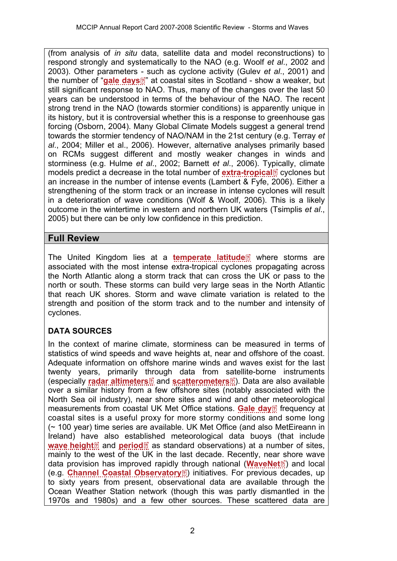(from analysis of *in situ* data, satellite data and model reconstructions) to respond strongly and systematically to the NAO (e.g. Woolf *et al*., 2002 and 2003). Other parameters [- s](http://www.mccip.org.uk/arc/2007/glossary.htm)uch as cyclone activity (Gulev *et al*., 2001) and the number of "[gale days](http://www.mccip.org.uk/arc/2007/glossary.htm#Gale_day)<sup>?</sup>" at coastal sites in Scotland - show a weaker, but still significant response to NAO. Thus, many of the changes over the last 50 years can be understood in terms of the behaviour of the NAO. The recent strong trend in the NAO (towards stormier conditions) is apparently unique in its history, but it is controversial whether this is a response to greenhouse gas forcing (Osborn, 2004). Many Global Climate Models suggest a general trend towards the stormier tendency of NAO/NAM in the 21st century (e.g. Terray *et al*., 2004; Miller et al., 2006). However, alternative analyses primarily based on RCMs suggest different and mostly weaker changes in winds and storminess (e.g. Hulme *et al*., 2002; Barnett *et al*., 2006). T[ypic](http://www.mccip.org.uk/arc/2007/glossary.htm)ally, climate models predict a decrease in the total number of **[extra-tropical](http://www.mccip.org.uk/arc/2007/glossary.htm#Extratropical)** *c* cyclones but an increase in the number of intense events (Lambert & Fyfe, 2006). Either a strengthening of the storm track or an increase in intense cyclones will result in a deterioration of wave conditions (Wolf & Woolf, 2006). This is a likely outcome in the wintertime in western and northern UK waters (Tsimplis *et al*., 2005) but there can be only low confidence in this prediction.

## **Full Review**

TheUnited Kingdom lies at a **[temperate latitude](http://www.mccip.org.uk/arc/2007/glossary.htm#Temperate_latitude)**<sup>2</sup> where storms are associated with the most intense extra-tropical cyclones propagating across the North Atlantic along a storm track that can cross the UK or pass to the north or south. These storms can build very large seas in the North Atlantic that reach UK shores. Storm and wave climate variation is related to the strength and position of the storm track and to the number and intensity of cyclones.

# **DATA SOURCES**

In the context of marine climate, storminess can be measured in terms of statistics of wind speeds and wave heights at, near and offshore of the coast. Adequate information on offshore marine winds and waves exist for the last twenty years, primarily [thro](http://www.mccip.org.uk/arc/2007/glossary.htm)ugh data from [sate](http://www.mccip.org.uk/arc/2007/glossary.htm)llite-borne instruments (especially **[radar altimeters](http://www.mccip.org.uk/arc/2007/glossary.htm#radar_altimeters)** and **[scatterometers](http://www.mccip.org.uk/arc/2007/glossary.htm#Scatterometers)** ). Data are also available over a similar history from a few offshore sites (notably associated with the North Sea oil industry), near shore sites and wind and othe[r m](http://www.mccip.org.uk/arc/2007/glossary.htm)eteorological measurements from coastal UK Met Office stations. [Gale day](http://www.mccip.org.uk/arc/2007/glossary.htm#Gale_day)<sup>1</sup> frequency at coastal sites is a useful proxy for more stormy conditions and some long (~ 100 year) time series are available. UK Met Office (and also MetEireann in Ireland) ha[ve](http://www.mccip.org.uk/arc/2007/glossary.htm) also esta[blis](http://www.mccip.org.uk/arc/2007/glossary.htm)hed meteorological data buoys (that include **[wave height](http://www.mccip.org.uk/arc/2007/glossary.htm#Wave_height)**<sup>*I*</sup> and **[period](http://www.mccip.org.uk/arc/2007/glossary.htm#Wave_period)**<sup>*I*</sup> as standard observations) at a number of sites, mainly to the west of the UK in the last decade. Recently, nea[r sh](http://www.mccip.org.uk/arc/2007/glossary.htm)ore wave data provision has improved rapidly [thr](http://www.mccip.org.uk/arc/2007/glossary.htm)ough national (**[WaveNet](http://www.mccip.org.uk/arc/2007/glossary.htm#WaveNet)**<sup>7</sup>) and local (e.g. **[Channel Coastal Observatory](http://www.mccip.org.uk/arc/2007/glossary.htm#CCO)**<sup>2</sup>) initiatives. For previous decades, up to sixty years from present, observational data are available through the Ocean Weather Station network (though this was partly dismantled in the 1970s and 1980s) and a few other sources. These scattered data are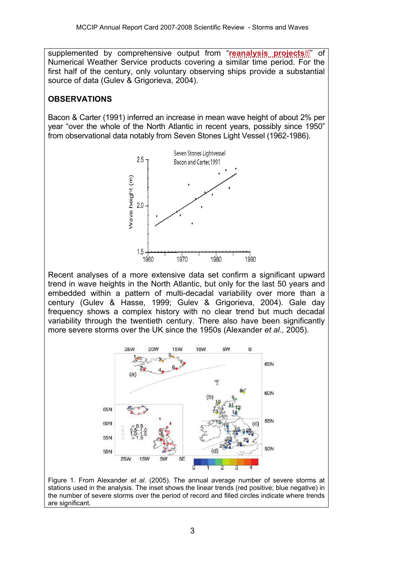supplemented by comprehensive output from "**[reanalysis projects](http://www.mccip.org.uk/arc/2007/glossary.htm#Reanalysis_projects)** Numerical Weather Service products covering a similar time period. For the first half of the century, only voluntary observing ships provide a substantial source of data (Gulev & Grigorieva, 2004).

## **OBSERVATIONS**

Bacon & Carter (1991) inferred an increase in mean wave height of about 2% per year "over the whole of the North Atlantic in recent years, possibly since 1950" from observational data notably from Seven Stones Light Vessel (1962-1986).



Recent analyses of a more extensive data set confirm a significant upward trend in wave heights in the North Atlantic, but only for the last 50 years and embedded within a pattern of multi-decadal variability over more than a century (Gulev & Hasse, 1999; Gulev & Grigorieva, 2004). Gale day frequency shows a complex history with no clear trend but much decadal variability through the twentieth century. There also have been significantly more severe storms over the UK since the 1950s (Alexander *et al.,* 2005).



Figure 1. From Alexander *et al*. (2005). The annual average number of severe storms at stations used in the analysis. The inset shows the linear trends (red positive; blue negative) in the number of severe storms over the period of record and filled circles indicate where trends are significant.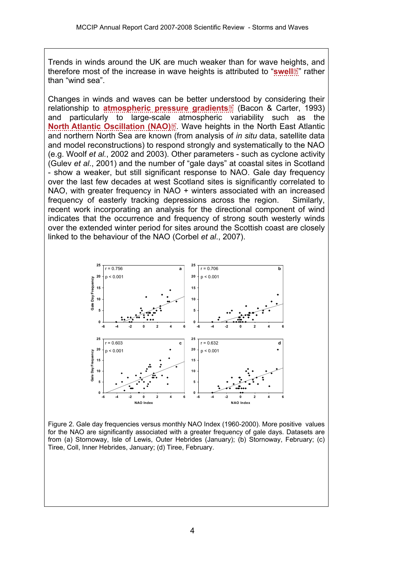Trends in winds around the UK are much weaker than for wave he[ight](http://www.mccip.org.uk/arc/2007/glossary.htm)s, and therefore most of the increase in wave heights is attributed to "**[swell](http://www.mccip.org.uk/arc/2007/glossary.htm#swell)** " rather than "wind sea".

Changes in winds and waves can be better und[erst](http://www.mccip.org.uk/arc/2007/glossary.htm)ood by considering their relationship to **[atmospheric pressure gradients](http://www.mccip.org.uk/arc/2007/glossary.htm#APG)** (Bacon & Carter, 1993) and particularly to large-scal[e](http://www.mccip.org.uk/arc/2007/glossary.htm) atmospheric variability such as the **[North Atlantic Oscillation \(NAO\)](http://www.mccip.org.uk/arc/2007/glossary.htm#NAO)<sup>[7]</sup>.** Wave heights in the North East Atlantic and northern North Sea are known (from analysis of *in situ* data, satellite data and model reconstructions) to respond strongly and systematically to the NAO (e.g. Woolf *et al.*, 2002 and 2003). Other parameters - such as cyclone activity (Gulev *et al*., 2001) and the number of "gale days" at coastal sites in Scotland - show a weaker, but still significant response to NAO. Gale day frequency over the last few decades at west Scotland sites is significantly correlated to NAO, with greater frequency in NAO + winters associated with an increased frequency of easterly tracking depressions across the region. Similarly, recent work incorporating an analysis for the directional component of wind indicates that the occurrence and frequency of strong south westerly winds over the extended winter period for sites around the Scottish coast are closely linked to the behaviour of the NAO (Corbel *et al*., 2007).



Figure 2. Gale day frequencies versus monthly NAO Index (1960-2000). More positive values for the NAO are significantly associated with a greater frequency of gale days. Datasets are from (a) Stornoway, Isle of Lewis, Outer Hebrides (January); (b) Stornoway, February; (c) Tiree, Coll, Inner Hebrides, January; (d) Tiree, February.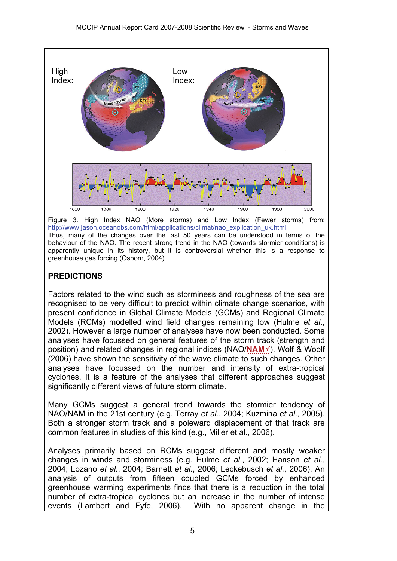

Figure 3. High Index NAO (More storms) and Low Index (Fewer storms) from: [http://www.jason.oceanobs.com/html/applications/climat/nao\\_explication\\_uk.html](http://www.jason.oceanobs.com/html/applications/climat/nao_explication_uk.html)

Thus, many of the changes over the last 50 years can be understood in terms of the behaviour of the NAO. The recent strong trend in the NAO (towards stormier conditions) is apparently unique in its history, but it is controversial whether this is a response to greenhouse gas forcing (Osborn, 2004).

#### **PREDICTIONS**

Factors related to the wind such as storminess and roughness of the sea are recognised to be very difficult to predict within climate change scenarios, with present confidence in Global Climate Models (GCMs) and Regional Climate Models (RCMs) modelled wind field changes remaining low (Hulme *et al*., 2002). However a large number of analyses have now been conducted. Some analyses have focussed on general features of the storm tr[ack](http://www.mccip.org.uk/arc/2007/glossary.htm) (strength and position) and related changes in regional indices (NAO/[NAM](http://www.mccip.org.uk/arc/2007/glossary.htm#NAM)<sup>[2]</sup>). Wolf & Woolf (2006) have shown the sensitivity of the wave climate to such changes. Other analyses have focussed on the number and intensity of extra-tropical cyclones. It is a feature of the analyses that different approaches suggest significantly different views of future storm climate.

Many GCMs suggest a general trend towards the stormier tendency of NAO/NAM in the 21st century (e.g. Terray *et al.*, 2004; Kuzmina *et al*., 2005). Both a stronger storm track and a poleward displacement of that track are common features in studies of this kind (e.g., Miller et al., 2006).

Analyses primarily based on RCMs suggest different and mostly weaker changes in winds and storminess (e.g. Hulme *et al*., 2002; Hanson *et al*., 2004; Lozano *et al.*, 2004; Barnett *et al*., 2006; Leckebusch *et al.*, 2006). An analysis of outputs from fifteen coupled GCMs forced by enhanced greenhouse warming experiments finds that there is a reduction in the total number of extra-tropical cyclones but an increase in the number of intense events (Lambert and Fyfe, 2006). With no apparent change in the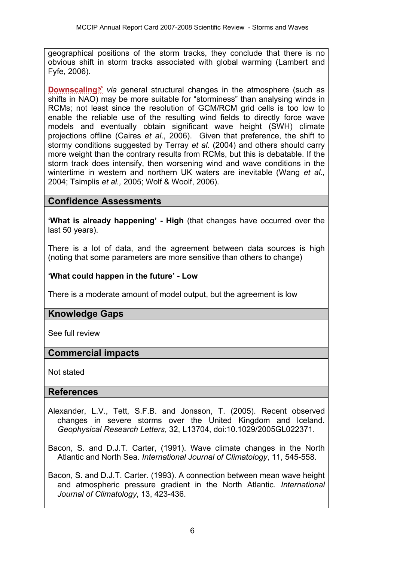geographical positions of the storm tracks, they conclude that there is no obvious shift in storm tracks associated with global warming (Lambert and Fyfe, 2006).

**[Downscaling](http://www.mccip.org.uk/arc/2007/glossary.htm#Downscaling)**<sup>*I*</sup> *via* general structural changes in the atmosphere (such as shifts in NAO) may be more suitable for "storminess" than analysing winds in RCMs; not least since the resolution of GCM/RCM grid cells is too low to enable the reliable use of the resulting wind fields to directly force wave models and eventually obtain significant wave height (SWH) climate projections offline (Caires *et al*., 2006). Given that preference, the shift to stormy conditions suggested by Terray *et al*. (2004) and others should carry more weight than the contrary results from RCMs, but this is debatable. If the storm track does intensify, then worsening wind and wave conditions in the wintertime in western and northern UK waters are inevitable (Wang *et al.,*  2004; Tsimplis *et al.,* 2005; Wolf & Woolf, 2006).

## **Confidence Assessments**

**'What is already happening' - High** (that changes have occurred over the last 50 years).

There is a lot of data, and the agreement between data sources is high (noting that some parameters are more sensitive than others to change)

#### **'What could happen in the future' - Low**

There is a moderate amount of model output, but the agreement is low

### **Knowledge Gaps**

See full review

### **Commercial impacts**

Not stated

#### **References**

Alexander, L.V., Tett, S.F.B. and Jonsson, T. (2005). Recent observed changes in severe storms over the United Kingdom and Iceland. *Geophysical Research Letters*, 32, L13704, doi:10.1029/2005GL022371.

Bacon, S. and D.J.T. Carter, (1991). Wave climate changes in the North Atlantic and North Sea. *International Journal of Climatology*, 11, 545-558.

Bacon, S. and D.J.T. Carter. (1993). A connection between mean wave height and atmospheric pressure gradient in the North Atlantic. *International Journal of Climatology*, 13, 423-436.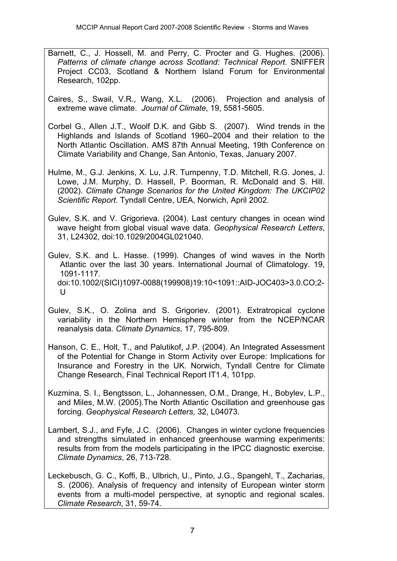- Barnett, C., J. Hossell, M. and Perry, C. Procter and G. Hughes. (2006). *Patterns of climate change across Scotland: Technical Report*. SNIFFER Project CC03, Scotland & Northern Island Forum for Environmental Research, 102pp.
- Caires, S., Swail, V.R., Wang, X.L. (2006). Projection and analysis of extreme wave climate. *Journal of Climate*, 19, 5581-5605.
- Corbel G., Allen J.T., Woolf D.K. and Gibb S. (2007). Wind trends in the Highlands and Islands of Scotland 1960–2004 and their relation to the North Atlantic Oscillation. AMS 87th Annual Meeting, 19th Conference on Climate Variability and Change, San Antonio, Texas, January 2007.
- Hulme, M., G.J. Jenkins, X. Lu, J.R. Turnpenny, T.D. Mitchell, R.G. Jones, J. Lowe, J.M. Murphy, D. Hassell, P. Boorman, R. McDonald and S. Hill. (2002). *Climate Change Scenarios for the United Kingdom: The UKCIP02 Scientific Report*. Tyndall Centre, UEA, Norwich, April 2002.
- Gulev, S.K. and V. Grigorieva. (2004). Last century changes in ocean wind wave height from global visual wave data. *Geophysical Research Letters*, 31, L24302, doi:10.1029/2004GL021040.
- Gulev, S.K. and L. Hasse. (1999). Changes of wind waves in the North Atlantic over the last 30 years. International Journal of Climatology. 19, 1091-1117. doi:10.1002/(SICI)1097-0088(199908)19:10<1091::AID-JOC403>3.0.CO;2- U
- Gulev, S.K., O. Zolina and S. Grigoriev. (2001). Extratropical cyclone variability in the Northern Hemisphere winter from the NCEP/NCAR reanalysis data. *Climate Dynamics*, 17, 795-809.
- Hanson, C. E., Holt, T., and Palutikof, J.P. (2004). An Integrated Assessment of the Potential for Change in Storm Activity over Europe: Implications for Insurance and Forestry in the UK. Norwich, Tyndall Centre for Climate Change Research, Final Technical Report IT1.4, 101pp.
- Kuzmina, S. I., Bengtsson, L., Johannessen, O.M., Drange, H., Bobylev, L.P., and Miles, M.W. (2005).The North Atlantic Oscillation and greenhouse gas forcing. *Geophysical Research Letters,* 32, L04073.
- Lambert, S.J., and Fyfe, J.C. (2006). Changes in winter cyclone frequencies and strengths simulated in enhanced greenhouse warming experiments: results from from the models participating in the IPCC diagnostic exercise. *Climate Dynamics*, 26, 713-728.
- Leckebusch, G. C., Koffi, B., Ulbrich, U., Pinto, J.G., Spangehl, T., Zacharias, S. (2006). Analysis of frequency and intensity of European winter storm events from a multi-model perspective, at synoptic and regional scales. *Climate Research*, 31, 59-74.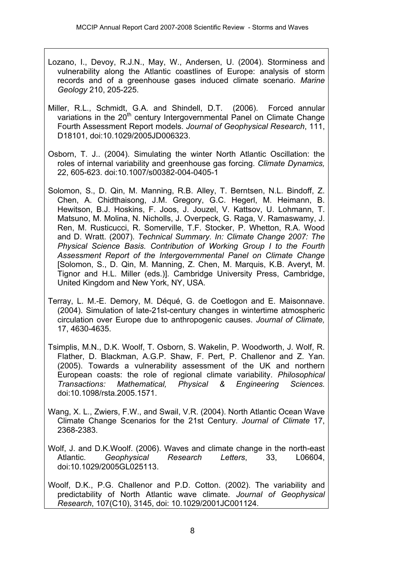- Lozano, I., Devoy, R.J.N., May, W., Andersen, U. (2004). Storminess and vulnerability along the Atlantic coastlines of Europe: analysis of storm records and of a greenhouse gases induced climate scenario. *Marine Geology* 210, 205-225.
- Miller, R.L., Schmidt, G.A. and Shindell, D.T. (2006). Forced annular variations in the 20<sup>th</sup> century Intergovernmental Panel on Climate Change Fourth Assessment Report models. *Journal of Geophysical Research*, 111, D18101, doi:10.1029/2005JD006323.
- Osborn, T. J.. (2004). Simulating the winter North Atlantic Oscillation: the roles of internal variability and greenhouse gas forcing. *Climate Dynamics,*  22, 605-623. doi:10.1007/s00382-004-0405-1
- Solomon, S., D. Qin, M. Manning, R.B. Alley, T. Berntsen, N.L. Bindoff, Z. Chen, A. Chidthaisong, J.M. Gregory, G.C. Hegerl, M. Heimann, B. Hewitson, B.J. Hoskins, F. Joos, J. Jouzel, V. Kattsov, U. Lohmann, T. Matsuno, M. Molina, N. Nicholls, J. Overpeck, G. Raga, V. Ramaswamy, J. Ren, M. Rusticucci, R. Somerville, T.F. Stocker, P. Whetton, R.A. Wood and D. Wratt. (2007). *Technical Summary. In: Climate Change 2007: The Physical Science Basis. Contribution of Working Group I to the Fourth Assessment Report of the Intergovernmental Panel on Climate Change* [Solomon, S., D. Qin, M. Manning, Z. Chen, M. Marquis, K.B. Averyt, M. Tignor and H.L. Miller (eds.)]. Cambridge University Press, Cambridge, United Kingdom and New York, NY, USA.
- Terray, L. M.-E. Demory, M. Déqué, G. de Coetlogon and E. Maisonnave. (2004). Simulation of late-21st-century changes in wintertime atmospheric circulation over Europe due to anthropogenic causes. *Journal of Climate,*  17, 4630-4635.
- Tsimplis, M.N., D.K. Woolf, T. Osborn, S. Wakelin, P. Woodworth, J. Wolf, R. Flather, D. Blackman, A.G.P. Shaw, F. Pert, P. Challenor and Z. Yan. (2005). Towards a vulnerability assessment of the UK and northern European coasts: the role of regional climate variability. *Philosophical Transactions: Mathematical, Physical & Engineering Sciences.* doi:10.1098/rsta.2005.1571.
- Wang, X. L., Zwiers, F.W., and Swail, V.R. (2004). North Atlantic Ocean Wave Climate Change Scenarios for the 21st Century. *Journal of Climate* 17, 2368-2383.
- Wolf, J. and D.K.Woolf. (2006). Waves and climate change in the north-east Atlantic. *Geophysical Research Letters*, 33, L06604, doi:10.1029/2005GL025113.
- Woolf, D.K., P.G. Challenor and P.D. Cotton. (2002). The variability and predictability of North Atlantic wave climate. *Journal of Geophysical Research*, 107(C10), 3145, doi: 10.1029/2001JC001124.